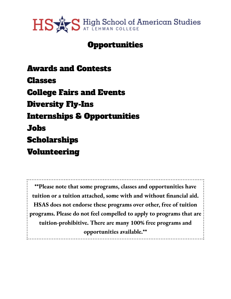

# **Opportunities**

Awards and [Contests](#page-1-0) [Classes](#page-2-0) [College](#page-15-0) Fairs and Events [Diversity](#page-16-0) Fly-Ins [Internships](#page-17-0) & Opportunities [Jobs](#page-19-0) [Scholarships](#page-22-0) [Volunteering](#page-22-1)

**\*\*Please note that some programs, classes and opportunities have tuition or a tuition attached, some with and without financial aid. HSAS does not endorse these programs over other, free of tuition programs. Please do not feel compelled to apply to programs that are tuition-prohibitive. There are many 100% free programs and opportunities available.\*\***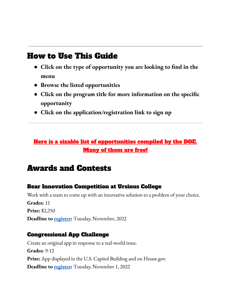# How to Use This Guide

- **● Click on the type of opportunity you are looking to find in the menu**
- **● Browse the listed opportunities**
- **● Click on the program title for more information on the specific opportunity**
- **● Click on the application/registration link to sign up**

# Here is a sizable list of [opportunities](https://docs.google.com/document/d/1qhVSK9gNlmESSoCNrXzlWJpnRPEAhWHT/edit) compiled by the DOE. [Many](https://docs.google.com/document/d/1qhVSK9gNlmESSoCNrXzlWJpnRPEAhWHT/edit) of them are free!

# <span id="page-1-0"></span>Awards and Contests

## Bear Innovation [Competition](https://admission.ursinus.edu/register/?id=cfd3d945-2975-4cf6-be4a-9694a1e2c32b) at Ursinus College

Work with a team to come up with an innovative solution to a problem of your choice. **Grades:** 11 **Prize:** \$2,250 **Deadline to [register:](https://admission.ursinus.edu/register/?id=cfd3d945-2975-4cf6-be4a-9694a1e2c32b)** Tuesday, November, 2022

### [Congressional](https://www.congressionalappchallenge.us/) App Challenge

Create an original app in response to a real-world issue. **Grades:** 9-12 **Prize:** App displayed in the U.S. Capitol Building and on House.gov. **Deadline to [register:](https://admission.ursinus.edu/register/?id=cfd3d945-2975-4cf6-be4a-9694a1e2c32b)** Tuesday, November 1, 2022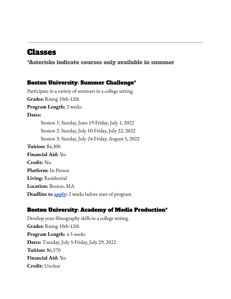# <span id="page-2-0"></span>Classes

\*Asterisks indicate courses only available in summer

#### Boston [University:](https://www.bu.edu/summer/high-school-programs/summer-challenge/) Summer Challenge\*

Participate in a variety of seminars in a college setting. **Grades:** Rising 10th-12th **Program Length:** 2 weeks **Dates:** Session 1: Sunday, June 19-Friday, July 1, 2022 Session 2: Sunday, July 10-Friday, July 22, 2022 Session 3: Sunday, July 24-Friday, August 5, 2022 **Tuition:** \$4,300 **Financial Aid:** Yes **Credit:** No **Platform:** In-Person **Living:** Residential **Location:** Boston, MA **Deadline to [apply](https://www.bu.edu/summer-registration/high-school-programs-summer-challenge/):** 2 weeks before start of program

### Boston University: Academy of Media [Production\\*](https://combeyond.bu.edu/workshop/academy-of-media-production/)

Develop your filmography skills in a college setting. **Grades:** Rising 10th-12th **Program Length:** 4.5 weeks **Dates:** Tuesday, July 5-Friday, July 29, 2022 **Tuition:** \$6,570 **Financial Aid:** Yes **Credit:** Unclear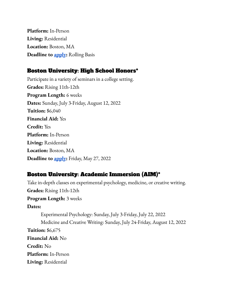**Platform:** In-Person **Living:** Residential **Location:** Boston, MA **Deadline to [apply](https://www.buamp.com/new-application):** Rolling Basis

### Boston [University:](https://www.bu.edu/summer/high-school-programs/high-school-honors/) High School Honors\*

Participate in a variety of seminars in a college setting. **Grades:** Rising 11th-12th **Program Length:** 6 weeks **Dates:** Sunday, July 3-Friday, August 12, 2022 **Tuition:** \$6,040 **Financial Aid:** Yes **Credit:** Yes **Platform:** In-Person **Living:** Residential **Location:** Boston, MA **Deadline to [apply](https://www.bu.edu/summer-registration/high-school-programs-high-school-honors/):** Friday, May 27, 2022

### Boston University: Academic [Immersion](https://www.bu.edu/summer/high-school-programs/academic-immersion/) (AIM)\*

Take in-depth classes on experimental psychology, medicine, or creative writing. **Grades:** Rising 11th-12th **Program Length:** 3 weeks **Dates:** Experimental Psychology: Sunday, July 3-Friday, July 22, 2022 Medicine and Creative Writing: Sunday, July 24-Friday, August 12, 2022 **Tuition:** \$6,675 **Financial Aid:** No **Credit:** No **Platform:** In-Person **Living:** Residential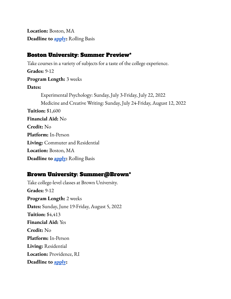**Location:** Boston, MA **Deadline to [apply](https://www.bu.edu/summer-registration/high-school-programs-academic-immersion/):** Rolling Basis

#### Boston [University:](https://www.bu.edu/summer/high-school-programs/summer-preview/) Summer Preview\*

Take courses in a variety of subjects for a taste of the college experience. **Grades:** 9-12 **Program Length:** 3 weeks **Dates:** Experimental Psychology: Sunday, July 3-Friday, July 22, 2022 Medicine and Creative Writing: Sunday, July 24-Friday, August 12, 2022 **Tuition:** \$1,600 **Financial Aid:** No **Credit:** No **Platform:** In-Person **Living:** Commuter and Residential **Location:** Boston, MA **Deadline to [apply](https://www.bu.edu/summer-registration/high-school-programs-summer-preview/):** Rolling Basis

#### Brown University: [Summer@Brown\\*](https://precollege.brown.edu/programs/summerbrown)

Take college-level classes at Brown University. **Grades:** 9-12 **Program Length:** 2 weeks **Dates:** Sunday, June 19-Friday, August 5, 2022 **Tuition:** \$4,413 **Financial Aid:** Yes **Credit:** No **Platform:** In-Person **Living:** Residential **Location:** Providence, RI **Deadline to [apply](https://precollege.brown.edu/apply):**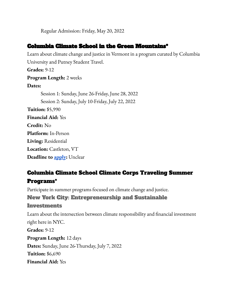Regular Admission: Friday, May 20, 2022

### Columbia Climate School in the Green [Mountains\\*](https://www.climate.columbia.edu/green-mountains)

Learn about climate change and justice in Vermont in a program curated by Columbia University and Putney Student Travel.

**Grades:** 9-12 **Program Length:** 2 weeks **Dates:** Session 1: Sunday, June 26-Friday, June 28, 2022 Session 2: Sunday, July 10-Friday, July 22, 2022 **Tuition:** \$5,990 **Financial Aid:** Yes **Credit:** No **Platform:** In-Person **Living:** Residential **Location:** Castleton, VT **Deadline to [apply](https://app.goputney.com/):** Unclear

# Columbia Climate School Climate Corps [Traveling](https://www.climate.columbia.edu/columbia-climate-corps) Summer [Programs\\*](https://www.climate.columbia.edu/columbia-climate-corps)

Participate in summer programs focused on climate change and justice.

### New York City: [Entrepreneurship](https://www.climate.columbia.edu/content/columbia-climate-corps-program1) and Sustainable

#### [Investments](https://www.climate.columbia.edu/content/columbia-climate-corps-program1)

Learn about the intersection between climate responsibility and financial investment right here in NYC. **Grades:** 9-12 **Program Length:** 12 days **Dates:** Sunday, June 26-Thursday, July 7, 2022 **Tuition:** \$6,690 **Financial Aid:** Yes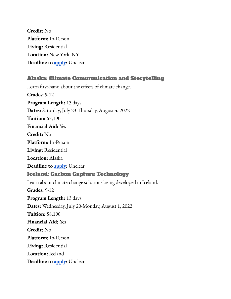**Credit:** No **Platform:** In-Person **Living:** Residential **Location:** New York, NY **Deadline to [apply](https://app.goputney.com/):** Unclear

### Alaska: Climate [Communication](https://www.climate.columbia.edu/content/columbia-climate-corps-program4) and Storytelling

Learn first-hand about the effects of climate change. **Grades:** 9-12 **Program Length:** 13 days **Dates:** Saturday, July 23-Thursday, August 4, 2022 **Tuition:** \$7,190 **Financial Aid:** Yes **Credit:** No **Platform:** In-Person **Living:** Residential **Location:** Alaska **Deadline to [apply](https://app.goputney.com/):** Unclear Iceland: Carbon Capture [Technology](https://www.climate.columbia.edu/content/columbia-climate-corps-program3) Learn about climate-change solutions being developed in Iceland. **Grades:** 9-12 **Program Length:** 13 days **Dates:** Wednesday, July 20-Monday, August 1, 2022 **Tuition:** \$8,190 **Financial Aid:** Yes **Credit:** No **Platform:** In-Person **Living:** Residential **Location:** Iceland **Deadline to [apply](https://app.goputney.com/):** Unclear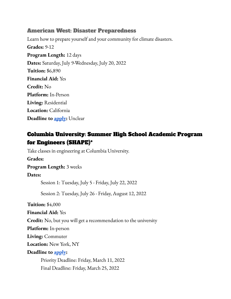#### American West: Disaster [Preparedness](https://www.climate.columbia.edu/content/columbia-climate-corps-program2)

Learn how to prepare yourself and your community for climate disasters. **Grades:** 9-12 **Program Length:** 12 days **Dates:** Saturday, July 9-Wednesday, July 20, 2022 **Tuition:** \$6,890 **Financial Aid:** Yes **Credit:** No **Platform:** In-Person **Living:** Residential **Location:** California **Deadline to [apply](https://app.goputney.com/):** Unclear

## Columbia [University:](https://outreach.engineering.columbia.edu/content/shape-summer-high-school-academic-program-engineers) Summer High School Academic Program for [Engineers](https://outreach.engineering.columbia.edu/content/shape-summer-high-school-academic-program-engineers) (SHAPE)\*

Take classes in engineering at Columbia University.

**Grades:**

**Program Length:** 3 weeks

#### **Dates:**

Session 1: Tuesday, July 5 - Friday, July 22, 2022

Session 2: Tuesday, July 26 - Friday, August 12, 2022

**Tuition:** \$4,000

**Financial Aid:** Yes

**Credit:** No, but you will get a recommendation to the university

**Platform:** In-person

**Living:** Commuter

**Location:** New York, NY

#### **Deadline to [apply](https://apply.engineering.columbia.edu/apply/?sr=16bc09fb-31fb-455e-94d2-48c23f056643):**

Priority Deadline: Friday, March 11, 2022 Final Deadline: Friday, March 25, 2022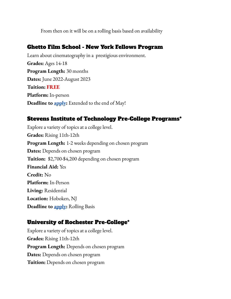From then on it will be on a rolling basis based on availability

### Ghetto Film School - New York Fellows [Program](https://www.ghettofilm.org/nyfellows)

Learn about cinematography in a prestigious environment. **Grades:** Ages 14-18 **Program Length:** 30 months **Dates:** June 2022-August 2023 **Tuition: FREE Platform:** In-person **Deadline to [apply](https://www.ghettofilm.org/fellows-application):** Extended to the end of May!

### Stevens Institute of [Technology](https://www.stevens.edu/admissions/pre-college-programs/summer-2022-pre-college-programs) Pre-College Programs\*

Explore a variety of topics at a college level. **Grades:** Rising 11th-12th **Program Length:** 1-2 weeks depending on chosen program **Dates:** Depends on chosen program **Tuition:** \$2,700-\$4,200 depending on chosen program **Financial Aid:** Yes **Credit:** No **Platform:** In-Person **Living:** Residential **Location:** Hoboken, NJ **Deadline to [apply](https://undergradadmissions.stevens.edu/apply/):** Rolling Basis

### University of Rochester Pre-College\*

Explore a variety of topics at a college level. **Grades:** Rising 11th-12th **Program Length:** Depends on chosen program **Dates:** Depends on chosen program **Tuition:** Depends on chosen program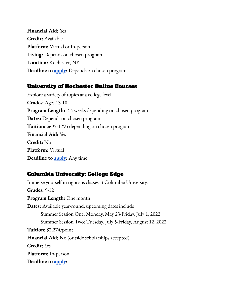**Financial Aid:** Yes **Credit:** Available **Platform:** Virtual or In-person **Living:** Depends on chosen program **Location:** Rochester, NY **Deadline to [apply](https://admissions.rochester.edu/pre-college/applying/how-to-apply/):** Depends on chosen program

### [University](https://rochesteronline.precollegeprograms.org/?utm_campaign=UR%3A%20Guidance%20Counselor%3A%20Spring%202022&utm_medium=email&_hsmi=206400408&_hsenc=p2ANqtz-_HGMguAQGwqSe2QI3IJjC24RGomTWjGqi2ddNp99BagWn2QlksHy8ZZbjcaueZ7ctMRmzlNRt1XqZkyNPuahj-UQM_aA&utm_content=206400408&utm_source=hs_automation) of Rochester Online Courses

Explore a variety of topics at a college level. **Grades:** Ages 13-18 **Program Length:** 2-4 weeks depending on chosen program **Dates:** Depends on chosen program **Tuition:** \$695-1295 depending on chosen program **Financial Aid:** Yes **Credit:** No **Platform:** Virtual **Deadline to [apply](https://rochesteronline.precollegeprograms.org/apply-now):** Any time

### Columbia [University:](https://precollege.sps.columbia.edu/highschool/college-edge) College Edge

Immerse yourself in rigorous classes at Columbia University. **Grades:** 9-12 **Program Length:** One month **Dates:** Available year-round, upcoming dates include Summer Session One: Monday, May 23-Friday, July 1, 2022 Summer Session Two: Tuesday, July 5-Friday, August 12, 2022 **Tuition:** \$2,274/point **Financial Aid:** No (outside scholarships accepted) **Credit:** Yes **Platform:** In-person **Deadline to [apply](https://apply.sps.columbia.edu/apply/?sr=02d9c6f2-d129-428e-8315-f1f7216c30dc):**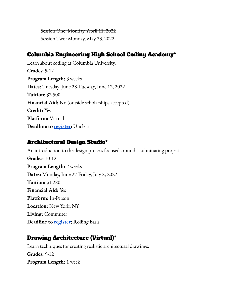Session One: Monday, April 11, 2022 Session Two: Monday, May 23, 2022

### Columbia [Engineering](https://bootcamp.cvn.columbia.edu/hs/coding/) High School Coding Academy\*

Learn about coding at Columbia University. **Grades:** 9-12 **Program Length:** 3 weeks **Dates:** Tuesday, June 28-Tuesday, June 12, 2022 **Tuition:** \$2,500 **Financial Aid:** No (outside scholarships accepted) **Credit:** Yes **Platform:** Virtual **Deadline to [register:](https://bootcamp.cvn.columbia.edu/enroll-hs/ui/wizard/application)** Unclear

### [Architectural](https://calendar.aiany.org/2022/06/27/summer-program-architectural-design-studio-grades-10-12-in-person-2/) Design Studio\*

An introduction to the design process focused around a culminating project. **Grades:** 10-12 **Program Length:** 2 weeks **Dates:** Monday, June 27-Friday, July 8, 2022 **Tuition:** \$1,280 **Financial Aid:** Yes **Platform:** In-Person **Location:** New York, NY **Living:** Commuter **Deadline to [register:](https://aiany.secure.force.com/pmtx/evt__QuickEvent?id=a0b4N000035aEDk)** Rolling Basis

### Drawing [Architecture](https://calendar.aiany.org/2022/07/05/summer-program-drawing-architecture-grades-9-12-online-2/) (Virtual)\*

Learn techniques for creating realistic architectural drawings. **Grades:** 9-12 **Program Length:** 1 week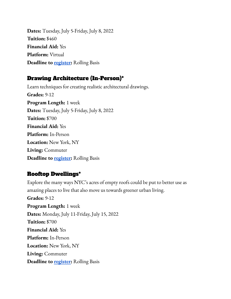**Dates:** Tuesday, July 5-Friday, July 8, 2022 **Tuition:** \$460 **Financial Aid:** Yes **Platform:** Virtual **Deadline to [register:](https://aiany.secure.force.com/pmtx/evt__QuickEvent?id=a0b4N000035aEBy)** Rolling Basis

### Drawing [Architecture](https://calendar.aiany.org/2022/07/18/summer-program-drawing-architecture-grades-9-12-in-person/) (In-Person)\*

Learn techniques for creating realistic architectural drawings. **Grades:** 9-12 **Program Length:** 1 week **Dates:** Tuesday, July 5-Friday, July 8, 2022 **Tuition:** \$700 **Financial Aid:** Yes **Platform:** In-Person **Location:** New York, NY **Living:** Commuter **Deadline to [register:](https://aiany.secure.force.com/pmtx/evt__QuickEvent?id=a0b4N000035aEET)** Rolling Basis

### Rooftop [Dwellings\\*](https://calendar.aiany.org/2022/07/11/summer-program-rooftop-dwelling-grades-9-12-in-person/)

Explore the many ways NYC's acres of empty roofs could be put to better use as amazing places to live that also move us towards greener urban living. **Grades:** 9-12 **Program Length:** 1 week **Dates:** Monday, July 11-Friday, July 15, 2022 **Tuition:** \$700 **Financial Aid:** Yes **Platform:** In-Person **Location:** New York, NY **Living:** Commuter **Deadline to [register:](https://aiany.secure.force.com/pmtx/evt__QuickEvent?id=a0b4N000035aEEE)** Rolling Basis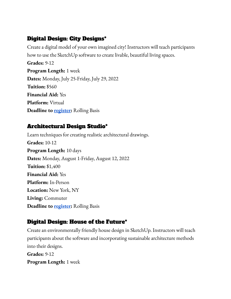## Digital Design: City [Designs](https://calendar.aiany.org/2022/07/25/summer-program-digital-design-city-design-grades-9-12-online/)\*

Create a digital model of your own imagined city! Instructors will teach participants how to use the SketchUp software to create livable, beautiful living spaces. **Grades:** 9-12 **Program Length:** 1 week **Dates:** Monday, July 25-Friday, July 29, 2022 **Tuition:** \$560 **Financial Aid:** Yes **Platform:** Virtual **Deadline to [register:](https://aiany.secure.force.com/pmtx/evt__QuickEvent?id=a0b4N000035aEDQ)** Rolling Basis

### [Architectural](https://calendar.aiany.org/2022/08/01/summer-program-architectural-design-studio-grades-10-12-in-person/) Design Studio\*

Learn techniques for creating realistic architectural drawings. **Grades:** 10-12 **Program Length:** 10 days **Dates:** Monday, August 1-Friday, August 12, 2022 **Tuition:** \$1,400 **Financial Aid:** Yes **Platform:** In-Person **Location:** New York, NY **Living:** Commuter **Deadline to [register:](https://aiany.secure.force.com/pmtx/evt__QuickEvent?id=a0b4N000035aEF2)** Rolling Basis

## Digital [Design:](https://calendar.aiany.org/2022/08/15/summer-program-digital-design-house-of-the-future-grades-9-12-in-person/) House of the Future\*

Create an environmentally friendly house design in SketchUp. Instructors will teach participants about the software and incorporating sustainable architecture methods into their designs. **Grades:** 9-12 **Program Length:** 1 week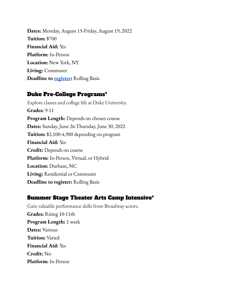**Dates:** Monday, August 15-Friday, August 19, 2022 **Tuition:** \$700 **Financial Aid:** Yes **Platform:** In-Person **Location:** New York, NY **Living:** Commuter **Deadline to [register:](https://aiany.secure.force.com/pmtx/evt__QuickEvent?id=a0b4N000035aEFR)** Rolling Basis

### Duke [Pre-College](https://learnmore.duke.edu/precollege/all-programs) Programs\*

Explore classes and college life at Duke University. **Grades:** 9-11 **Program Length:** Depends on chosen course **Dates:** Sunday, June 26-Thursday, June 30, 2022 **Tuition:** \$2,100-4,900 depending on program **Financial Aid:** Yes **Credit:** Depends on course **Platform:** In-Person, Virtual, or Hybrid **Location:** Durham, NC **Living:** Residential or Commuter **Deadline to register:** Rolling Basis

### Summer Stage Theater Arts Camp [Intensive\\*](https://www.riverdaley.org/programs/summer-stage/#overview)

Gain valuable performance skills from Broadway actors. **Grades:** Rising 10-11th **Program Length:** 1 week **Dates:** Various **Tuition:** Varied **Financial Aid:** Yes **Credit:** No **Platform:** In-Person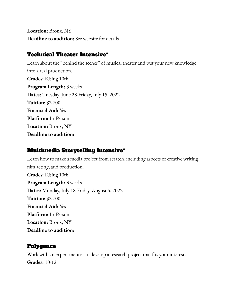**Location:** Bronx, NY **Deadline to audition:** See website for details

### Technical Theater [Intensive\\*](https://www.riverdaley.org/programs/summer-stage/#overview)

Learn about the "behind the scenes" of musical theater and put your new knowledge into a real production. **Grades:** Rising 10th **Program Length:** 3 weeks **Dates:** Tuesday, June 28-Friday, July 15, 2022 **Tuition:** \$2,700 **Financial Aid:** Yes **Platform:** In-Person **Location:** Bronx, NY **Deadline to audition:**

### Multimedia [Storytelling](https://www.riverdaley.org/programs/summer-stage/#overview) Intensive\*

Learn how to make a media project from scratch, including aspects of creative writing, film acting, and production. **Grades:** Rising 10th **Program Length:** 3 weeks **Dates:** Monday, July 18-Friday, August 5, 2022 **Tuition:** \$2,700 **Financial Aid:** Yes **Platform:** In-Person **Location:** Bronx, NY **Deadline to audition:**

### [Polygence](https://www.polygence.org/)

Work with an expert mentor to develop a research project that fits your interests. **Grades:** 10-12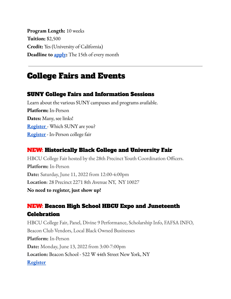**Program Length:** 10 weeks **Tuition:** \$2,500 **Credit:** Yes (University of California) **Deadline to [apply](https://app.polygence.org/user/register?_ga=2.247454668.93721821.1653351621-239560728.1653351621):** The 15th of every month

# <span id="page-15-0"></span>College Fairs and Events

### SUNY College Fairs and Information Sessions

Learn about the various SUNY campuses and programs available. **Platform:** In-Person **Dates:** Many, see links! **[Register](https://engage.suny.edu/portal/which_suny)** - Which SUNY are you? **[Register](https://engage.suny.edu/portal/suny_college_fairs)** - In-Person college fair

### NEW: Historically Black College and University Fair

HBCU College Fair hosted by the 28th Precinct Youth Coordination Officers. **Platform:** In-Person **Date:** Saturday, June 11, 2022 from 12:00-4:00pm **Location**: 28 Precinct 2271 8th Avenue NY, NY 10027 **No need to register, just show up!**

# NEW: Beacon High School HBCU Expo and Juneteenth **Celebration**

HBCU College Fair, Panel, Divine 9 Performance, Scholarship Info, FAFSA INFO, Beacon Club Vendors, Local Black Owned Businesses **Platform:** In-Person **Date:** Monday, June 13, 2022 from 3:00-7:00pm **Location:** Beacon School - 522 W 44th Street New York, NY **[Register](https://form.jotform.com/HBCU_Night/TheBeaconAllAccess)**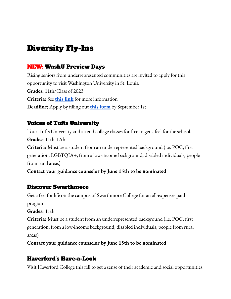# <span id="page-16-0"></span>Diversity Fly-Ins

### NEW: WashU Preview Days

Rising seniors from underrepresented communities are invited to apply for this opportunity to visit Washington University in St. Louis. **Grades:** 11th/Class of 2023 **Criteria:** See **this [link](https://admissions.wustl.edu/preview-days/)** for more information **Deadline:** Apply by filling out **this [form](https://pathway.wustl.edu/register/getting-to-know-you)** by September 1st

### Voices of Tufts University

Tour Tufts University and attend college classes for free to get a feel for the school. **Grades:** 11th-12th **Criteria:** Must be a student from an underrepresented background (i.e. POC, first generation, LGBTQIA+, from a low-income background, disabled individuals, people from rural areas)

**Contact your guidance counselor by June 15th to be nominated**

### Discover [Swarthmore](https://www.swarthmore.edu/admissions-aid/nominate-your-student-discover-swarthmore)

Get a feel for life on the campus of Swarthmore College for an all-expenses paid program.

**Grades:** 11th

**Criteria:** Must be a student from an underrepresented background (i.e. POC, first generation, from a low-income background, disabled individuals, people from rural areas)

**Contact your guidance counselor by June 15th to be nominated**

## Haverford's Have-a-Look

Visit Haverford College this fall to get a sense of their academic and social opportunities.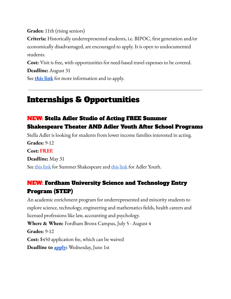**Grades:** 11th (rising seniors)

**Criteria:** Historically underrepresented students, i.e. BIPOC, first generation and/or economically disadvantaged, are encouraged to apply. It is open to undocumented students.

**Cost:** Visit is free, with opportunities for need-based travel expenses to be covered.

**Deadline:** August 31

See **this [link](https://www.haverford.edu/havealook)** for more information and to apply.

# <span id="page-17-0"></span>Internships & Opportunities

## NEW: Stella Adler Studio of Acting FREE Summer Shakespeare Theater AND Adler Youth After School Programs

Stella Adler is looking for students from lower income families interested in acting. **Grades:** 9-12 **Cost: FREE Deadline:** May 31 See this [link](https://www.stellaadler.com/arts-justice/adler-youth-group/) for Summer Shakespeare and this link for Adler Youth.

## NEW: Fordham University Science and Technology Entry Program (STEP)

An academic enrichment program for underrepresented and minority students to explore science, technology, engineering and mathematics fields, health careers and licensed professions like law, accounting and psychology.

**Where & When:** Fordham Bronx Campus, July 5 - August 4 **Grades:** 9-12

**Cost:** \$450 application fee, which can be waived

**Deadline to [apply](https://docs.google.com/forms/d/e/1FAIpQLSdwZnD4VM7s_SiI8bGvUdNDFAmiBRB4jBkpwriWqFblDYk47w/viewform):** Wednesday, June 1st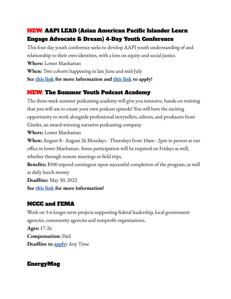## NEW: AAPI LEAD (Asian American Pacific Islander Learn Engage Advocate & Dream) 4-Day Youth Conference

This four day youth conference seeks to develop AAPI youth understanding of and relationship to their own identities, with a lens on equity and social justice.

**Where:** Lower Manhattan

**When:** Two cohorts happening in late June and mid-July

**See this [link](https://docs.google.com/document/d/16N985PyTP9OBc2a1WNHVkXddo2SLyW0I/edit) for more information and this [link](https://docs.google.com/forms/d/e/1FAIpQLSdKN3462gzGhL50e4_RnRQcf_xI9qLGrClp1JRIwa1PB_WhfA/viewform) to apply!**

## NEW: The Summer Youth Podcast Academy

The three-week summer podcasting academy will give you intensive, hands-on training that you will use to create your own podcast episode! You will have the exciting opportunity to work alongside professional storytellers, editors, and producers from Gimlet, an award-winning narrative podcasting company.

**Where:** Lower Manhattan

**When:** August 8 - August 26 Mondays - Thursdays from 10am - 2pm in person at our office in lower Manhattan. Some participation will be required on Fridays as well, whether through remote meetings or field trips.

**Benefits:** \$500 stipend contingent upon successful completion of the program, as well as daily lunch money

**Deadline:** May 30, 2022

**See this [link](https://www.bellvoices.org/summer?ss_source=sscampaigns&ss_email_id=6271394d55c4ad032434517b) for more information!**

## NCCC and [FEMA](https://vipnccc.com/programs)

Work on 5-6 longer term projects supporting federal leadership, local government agencies, community agencies and nonprofit organizations.

**Ages:** 17-26 **Compensation:** Paid **Deadline to [apply](https://vipnccc.com/apply):** Any Time

### [EnergyMag](https://energymag.net/internships/)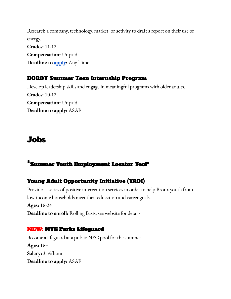Research a company, technology, market, or activity to draft a report on their use of energy. **Grades:** 11-12 **Compensation:** Unpaid **Deadline to [apply](https://energymag.net/internships/):** Any Time

### DOROT Summer Teen [Internship](https://www.dorotusa.org/volunteer/high-school-college-internships/summer-teen-internship-program?utm_source=Youth-WCS+Youth+Network&utm_campaign=01e83924c5-EMAIL_CAMPAIGN_2022_04_01_10_52&utm_medium=email&utm_term=0_95831f598b-01e83924c5-232636038) Program

Develop leadership skills and engage in meaningful programs with older adults. **Grades:** 10-12 **Compensation:** Unpaid **Deadline to apply:** ASAP

# <span id="page-19-0"></span>Jobs

## \*Summer Youth [Employment](https://www1.nyc.gov/site/acs/youth/youth-employment.page) Locator Tool\*

## Young Adult [Opportunity](https://newsettlement.org/yaoi/) Initiative (YAOI)

Provides a series of positive intervention services in order to help Bronx youth from low-income households meet their education and career goals. **Ages:** 16-24 **Deadline to enroll:** Rolling Basis, see website for details

### NEW: NYC Parks [Lifeguard](https://www.nycgovparks.org/opportunities/jobs/lifeguards)

Become a lifeguard at a public NYC pool for the summer. **Ages:** 16+ **Salary:** \$16/hour **Deadline to apply:** ASAP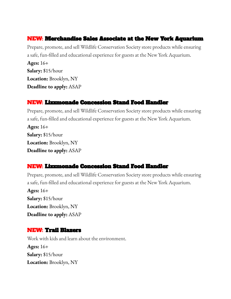### NEW: [Merchandise](https://sjobs.brassring.com/TGnewUI/Search/home/HomeWithPreLoad?partnerid=25965&siteid=5168&PageType=JobDetails&jobid=685175#jobDetails=685175_5168) Sales Associate at the New York Aquarium

Prepare, promote, and sell Wildlife Conservation Society store products while ensuring a safe, fun-filled and educational experience for guests at the New York Aquarium.

**Ages:** 16+ **Salary:** \$15/hour **Location:** Brooklyn, NY **Deadline to apply:** ASAP

### NEW: [Lizzmonade](https://www.indeed.com/cmp/Lizzmonade/jobs?jk=60fea44e12ebd931&start=0&clearPrefilter=1) Concession Stand Food Handler

Prepare, promote, and sell Wildlife Conservation Society store products while ensuring a safe, fun-filled and educational experience for guests at the New York Aquarium. **Ages:** 16+ **Salary:** \$15/hour **Location:** Brooklyn, NY **Deadline to apply:** ASAP

## NEW: [Lizzmonade](https://www.indeed.com/cmp/Lizzmonade/jobs?jk=60fea44e12ebd931&start=0&clearPrefilter=1) Concession Stand Food Handler

Prepare, promote, and sell Wildlife Conservation Society store products while ensuring a safe, fun-filled and educational experience for guests at the New York Aquarium.

**Ages:** 16+ **Salary:** \$15/hour **Location:** Brooklyn, NY **Deadline to apply:** ASAP

### NEW: Trail [Blazers](https://trailblazers.org/jobs/)

Work with kids and learn about the environment. **Ages:** 16+ **Salary:** \$15/hour **Location:** Brooklyn, NY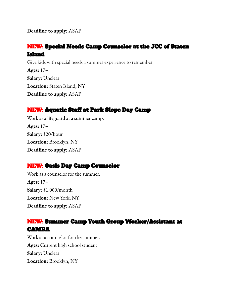**Deadline to apply:** ASAP

### NEW: Special Needs Camp [Counselor](https://www.indeed.com/cmp/Staten-Island-Jcc-1/jobs?jk=97e9c58ae449f062&start=0&clearPrefilter=1) at the JCC of Staten [Island](https://www.indeed.com/cmp/Staten-Island-Jcc-1/jobs?jk=97e9c58ae449f062&start=0&clearPrefilter=1)

Give kids with special needs a summer experience to remember. **Ages:** 17+ **Salary:** Unclear **Location:** Staten Island, NY **Deadline to apply:** ASAP

### NEW: [Aquatic](https://www.indeed.com/cmp/The-Park-Slope-Day-Camp-1/jobs?jk=3137fe7d78ae84d3&start=0&clearPrefilter=1) Staff at Park Slope Day Camp

Work as a lifeguard at a summer camp. **Ages:** 17+ **Salary:** \$20/hour **Location:** Brooklyn, NY **Deadline to apply:** ASAP

### NEW: Oasis Day Camp [Counselor](https://www.indeed.com/cmp/Oasis-Day-Camp-in-Downtown/jobs?jk=b34c3ce5557d95bc&start=0&clearPrefilter=1)

Work as a counselor for the summer. **Ages:** 17+ **Salary:** \$1,000/month **Location:** New York, NY **Deadline to apply:** ASAP

### NEW: Summer Camp Youth Group [Worker/Assistant](https://www.indeed.com/cmp/Camba/jobs?jk=3a45f096fe39ee57&q=&l=&c=service&start=0) at **CAMRA**

Work as a counselor for the summer. **Ages:** Current high school student **Salary:** Unclear **Location:** Brooklyn, NY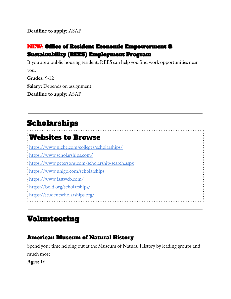**Deadline to apply:** ASAP

### NEW: Office of Resident Economic [Empowerment](http://opportunitynycha.org/job-opportunities/) & [Sustainability](http://opportunitynycha.org/job-opportunities/) (REES) Employment Program

If you are a public housing resident, REES can help you find work opportunities near you. **Grades:** 9-12 **Salary:** Depends on assignment **Deadline to apply:** ASAP

# <span id="page-22-0"></span>Scholarships

# Websites to Browse

<https://www.niche.com/colleges/scholarships/> <https://www.scholarships.com/> <https://www.petersons.com/scholarship-search.aspx> <https://www.unigo.com/scholarships> <https://www.fastweb.com/> <https://bold.org/scholarships/>

<https://studentscholarships.org/>

# <span id="page-22-1"></span>Volunteering

### American Museum of Natural History

Spend your time helping out at the Museum of Natural History by leading groups and much more.

**Ages:** 16+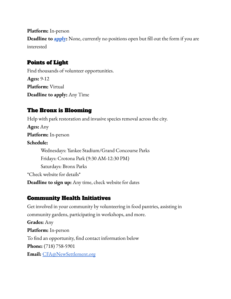**Platform:** In-person **Deadline to [apply](https://amnh.samaritan.com/custom/1555/volunteer_registration):** None, currently no positions open but fill out the form if you are interested

### [Points](https://engage.pointsoflight.org/) of Light

Find thousands of volunteer opportunities. **Ages:** 9-12 **Platform:** Virtual **Deadline to apply:** Any Time

### The Bronx is [Blooming](https://www.bronxisblooming.org/upcomingevents)

Help with park restoration and invasive species removal across the city. **Ages:** Any **Platform:** In-person **Schedule:** Wednesdays: Yankee Stadium/Grand Concourse Parks Fridays: Crotona Park (9:30 AM-12:30 PM) Saturdays: Bronx Parks \*Check website for details\* **Deadline to sign up:** Any time, check website for dates

### Community Health Initiatives

Get involved in your community by volunteering in food pantries, assisting in community gardens, participating in workshops, and more. **Grades:** Any **Platform:** In-person To find an opportunity, find contact information below **Phone:** (718) 758-5901 **Email:** [CFA@NewSettlement.org](mailto:CFA@NewSettlement.org)